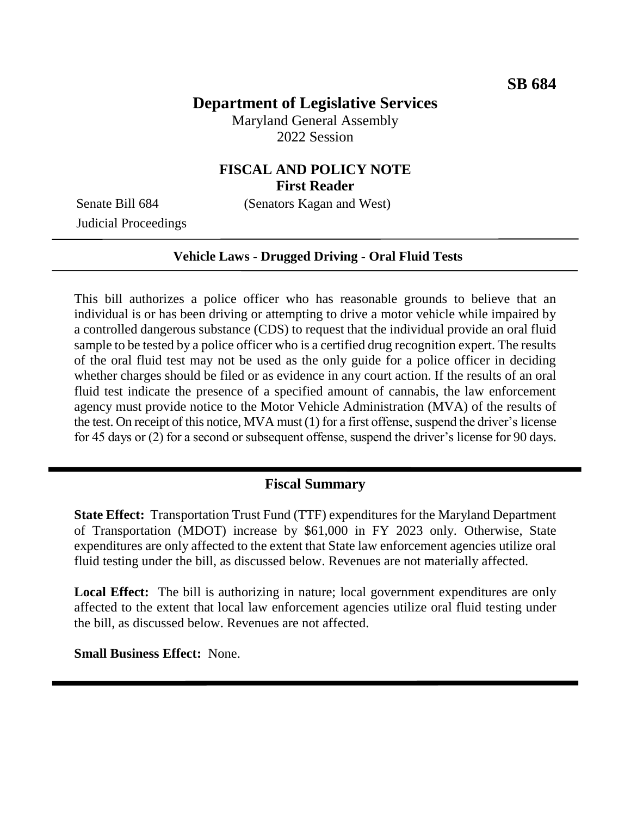# **Department of Legislative Services**

Maryland General Assembly 2022 Session

### **FISCAL AND POLICY NOTE First Reader**

Senate Bill 684 (Senators Kagan and West)

Judicial Proceedings

#### **Vehicle Laws - Drugged Driving - Oral Fluid Tests**

This bill authorizes a police officer who has reasonable grounds to believe that an individual is or has been driving or attempting to drive a motor vehicle while impaired by a controlled dangerous substance (CDS) to request that the individual provide an oral fluid sample to be tested by a police officer who is a certified drug recognition expert. The results of the oral fluid test may not be used as the only guide for a police officer in deciding whether charges should be filed or as evidence in any court action. If the results of an oral fluid test indicate the presence of a specified amount of cannabis, the law enforcement agency must provide notice to the Motor Vehicle Administration (MVA) of the results of the test. On receipt of this notice, MVA must (1) for a first offense, suspend the driver's license for 45 days or (2) for a second or subsequent offense, suspend the driver's license for 90 days.

### **Fiscal Summary**

**State Effect:** Transportation Trust Fund (TTF) expenditures for the Maryland Department of Transportation (MDOT) increase by \$61,000 in FY 2023 only. Otherwise, State expenditures are only affected to the extent that State law enforcement agencies utilize oral fluid testing under the bill, as discussed below. Revenues are not materially affected.

Local Effect: The bill is authorizing in nature; local government expenditures are only affected to the extent that local law enforcement agencies utilize oral fluid testing under the bill, as discussed below. Revenues are not affected.

**Small Business Effect:** None.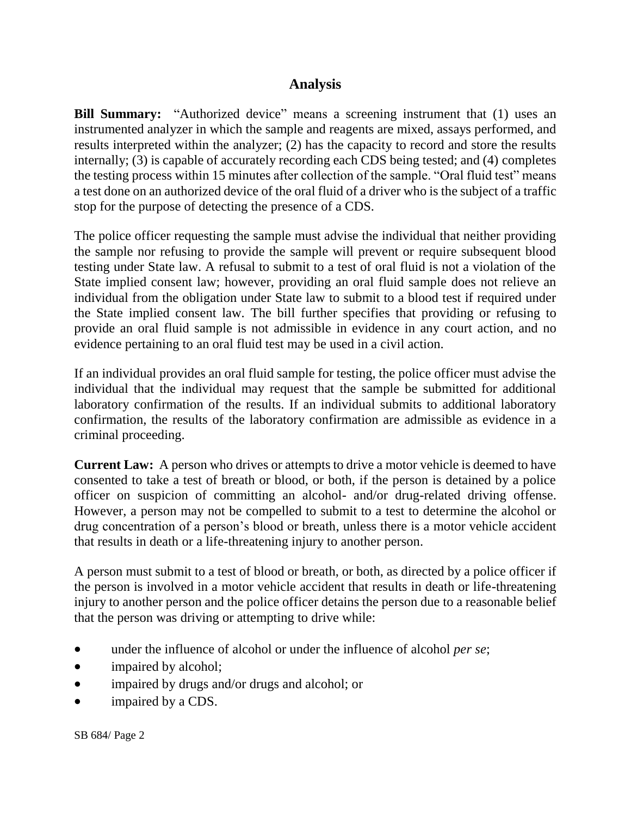## **Analysis**

**Bill Summary:** "Authorized device" means a screening instrument that (1) uses an instrumented analyzer in which the sample and reagents are mixed, assays performed, and results interpreted within the analyzer; (2) has the capacity to record and store the results internally; (3) is capable of accurately recording each CDS being tested; and (4) completes the testing process within 15 minutes after collection of the sample. "Oral fluid test" means a test done on an authorized device of the oral fluid of a driver who is the subject of a traffic stop for the purpose of detecting the presence of a CDS.

The police officer requesting the sample must advise the individual that neither providing the sample nor refusing to provide the sample will prevent or require subsequent blood testing under State law. A refusal to submit to a test of oral fluid is not a violation of the State implied consent law; however, providing an oral fluid sample does not relieve an individual from the obligation under State law to submit to a blood test if required under the State implied consent law. The bill further specifies that providing or refusing to provide an oral fluid sample is not admissible in evidence in any court action, and no evidence pertaining to an oral fluid test may be used in a civil action.

If an individual provides an oral fluid sample for testing, the police officer must advise the individual that the individual may request that the sample be submitted for additional laboratory confirmation of the results. If an individual submits to additional laboratory confirmation, the results of the laboratory confirmation are admissible as evidence in a criminal proceeding.

**Current Law:** A person who drives or attempts to drive a motor vehicle is deemed to have consented to take a test of breath or blood, or both, if the person is detained by a police officer on suspicion of committing an alcohol- and/or drug-related driving offense. However, a person may not be compelled to submit to a test to determine the alcohol or drug concentration of a person's blood or breath, unless there is a motor vehicle accident that results in death or a life-threatening injury to another person.

A person must submit to a test of blood or breath, or both, as directed by a police officer if the person is involved in a motor vehicle accident that results in death or life-threatening injury to another person and the police officer detains the person due to a reasonable belief that the person was driving or attempting to drive while:

- under the influence of alcohol or under the influence of alcohol *per se*;
- impaired by alcohol;
- impaired by drugs and/or drugs and alcohol; or
- impaired by a CDS.

SB 684/ Page 2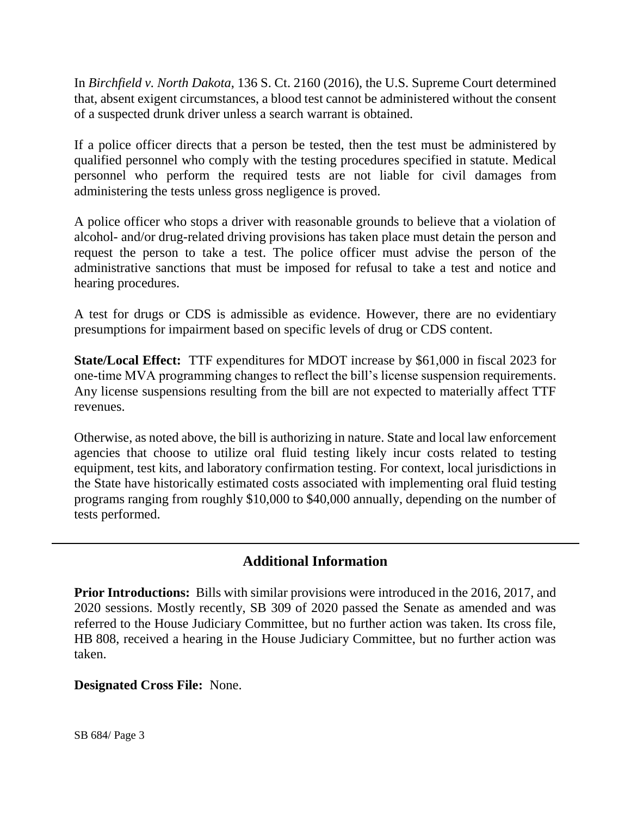In *Birchfield v. North Dakota*, 136 S. Ct. 2160 (2016), the U.S. Supreme Court determined that, absent exigent circumstances, a blood test cannot be administered without the consent of a suspected drunk driver unless a search warrant is obtained.

If a police officer directs that a person be tested, then the test must be administered by qualified personnel who comply with the testing procedures specified in statute. Medical personnel who perform the required tests are not liable for civil damages from administering the tests unless gross negligence is proved.

A police officer who stops a driver with reasonable grounds to believe that a violation of alcohol- and/or drug-related driving provisions has taken place must detain the person and request the person to take a test. The police officer must advise the person of the administrative sanctions that must be imposed for refusal to take a test and notice and hearing procedures.

A test for drugs or CDS is admissible as evidence. However, there are no evidentiary presumptions for impairment based on specific levels of drug or CDS content.

**State/Local Effect:** TTF expenditures for MDOT increase by \$61,000 in fiscal 2023 for one-time MVA programming changes to reflect the bill's license suspension requirements. Any license suspensions resulting from the bill are not expected to materially affect TTF revenues.

Otherwise, as noted above, the bill is authorizing in nature. State and local law enforcement agencies that choose to utilize oral fluid testing likely incur costs related to testing equipment, test kits, and laboratory confirmation testing. For context, local jurisdictions in the State have historically estimated costs associated with implementing oral fluid testing programs ranging from roughly \$10,000 to \$40,000 annually, depending on the number of tests performed.

## **Additional Information**

**Prior Introductions:** Bills with similar provisions were introduced in the 2016, 2017, and 2020 sessions. Mostly recently, SB 309 of 2020 passed the Senate as amended and was referred to the House Judiciary Committee, but no further action was taken. Its cross file, HB 808, received a hearing in the House Judiciary Committee, but no further action was taken.

### **Designated Cross File:** None.